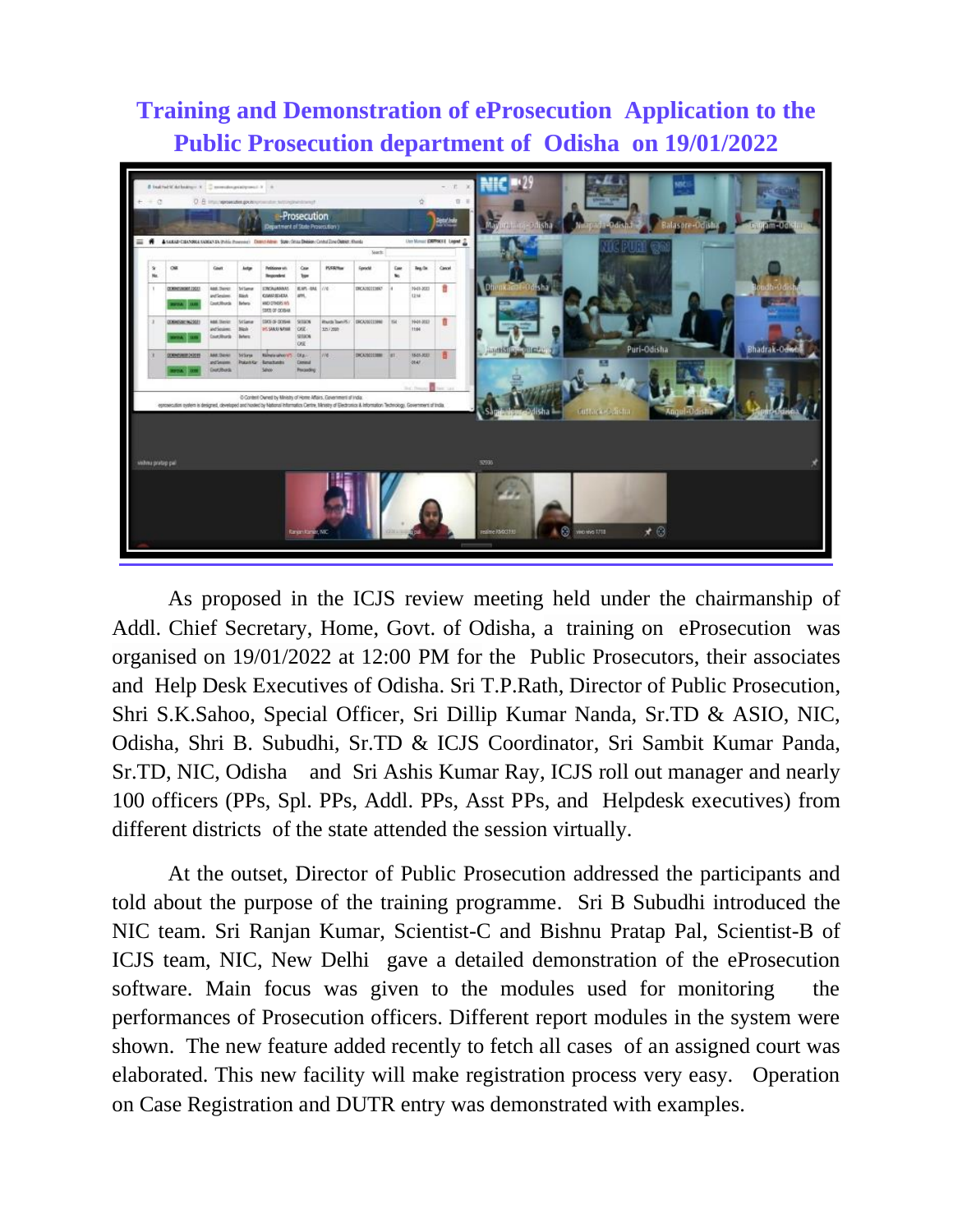## **Training and Demonstration of eProsecution Application to the Public Prosecution department of Odisha on 19/01/2022**



As proposed in the ICJS review meeting held under the chairmanship of Addl. Chief Secretary, Home, Govt. of Odisha, a training on eProsecution was organised on 19/01/2022 at 12:00 PM for the Public Prosecutors, their associates and Help Desk Executives of Odisha. Sri T.P.Rath, Director of Public Prosecution, Shri S.K.Sahoo, Special Officer, Sri Dillip Kumar Nanda, Sr.TD & ASIO, NIC, Odisha, Shri B. Subudhi, Sr.TD & ICJS Coordinator, Sri Sambit Kumar Panda, Sr.TD, NIC, Odisha and Sri Ashis Kumar Ray, ICJS roll out manager and nearly 100 officers (PPs, Spl. PPs, Addl. PPs, Asst PPs, and Helpdesk executives) from different districts of the state attended the session virtually.

At the outset, Director of Public Prosecution addressed the participants and told about the purpose of the training programme. Sri B Subudhi introduced the NIC team. Sri Ranjan Kumar, Scientist-C and Bishnu Pratap Pal, Scientist-B of ICJS team, NIC, New Delhi gave a detailed demonstration of the eProsecution software. Main focus was given to the modules used for monitoring the performances of Prosecution officers. Different report modules in the system were shown. The new feature added recently to fetch all cases of an assigned court was elaborated. This new facility will make registration process very easy. Operation on Case Registration and DUTR entry was demonstrated with examples.